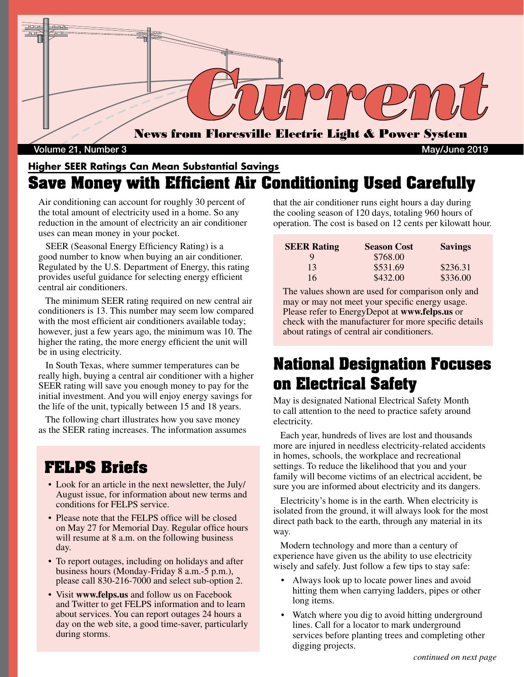

Volume 21, Number 3 May/June 2019

### **Higher SEER Ratings Can Mean Substantial Savings Save Money with Efficient Air Conditioning Used Carefully**

Air conditioning can account for roughly 30 percent of the total amount of electricity used in a home. So any reduction in the amount of electricity an air conditioner uses can mean money in your pocket.

 SEER (Seasonal Energy Efficiency Rating) is a good number to know when buying an air conditioner. Regulated by the U.S. Department of Energy, this rating provides useful guidance for selecting energy efficient central air conditioners.

 The minimum SEER rating required on new central air conditioners is 13. This number may seem low compared with the most efficient air conditioners available today; however, just a few years ago, the minimum was 10. The higher the rating, the more energy efficient the unit will be in using electricity.

 In South Texas, where summer temperatures can be really high, buying a central air conditioner with a higher SEER rating will save you enough money to pay for the initial investment. And you will enjoy energy savings for the life of the unit, typically between 15 and 18 years.

 The following chart illustrates how you save money as the SEER rating increases. The information assumes

### **FELPS Briefs**

- Look for an article in the next newsletter, the July/ August issue, for information about new terms and conditions for FELPS service.
- Please note that the FELPS office will be closed on May 27 for Memorial Day. Regular office hours will resume at 8 a.m. on the following business day.
- To report outages, including on holidays and after business hours (Monday-Friday 8 a.m.-5 p.m.), please call 830-216-7000 and select sub-option 2.
- Visit **www.felps.us** and follow us on Facebook and Twitter to get FELPS information and to learn about services. You can report outages 24 hours a day on the web site, a good time-saver, particularly during storms.

that the air conditioner runs eight hours a day during the cooling season of 120 days, totaling 960 hours of operation. The cost is based on 12 cents per kilowatt hour.

| <b>SEER Rating</b> | <b>Season Cost</b> | <b>Savings</b> |
|--------------------|--------------------|----------------|
| Q                  | \$768.00           |                |
| 13                 | \$531.69           | \$236.31       |
| 16                 | \$432.00           | \$336.00       |

The values shown are used for comparison only and may or may not meet your specific energy usage. Please refer to EnergyDepot at **www.felps.us** or check with the manufacturer for more specific details about ratings of central air conditioners.

## **National Designation Focuses on Electrical Safety**

May is designated National Electrical Safety Month to call attention to the need to practice safety around electricity.

 Each year, hundreds of lives are lost and thousands more are injured in needless electricity-related accidents in homes, schools, the workplace and recreational settings. To reduce the likelihood that you and your family will become victims of an electrical accident, be sure you are informed about electricity and its dangers.

 Electricity's home is in the earth. When electricity is isolated from the ground, it will always look for the most direct path back to the earth, through any material in its way.

 Modern technology and more than a century of experience have given us the ability to use electricity wisely and safely. Just follow a few tips to stay safe:

- Always look up to locate power lines and avoid hitting them when carrying ladders, pipes or other long items.
- Watch where you dig to avoid hitting underground lines. Call for a locator to mark underground services before planting trees and completing other digging projects.